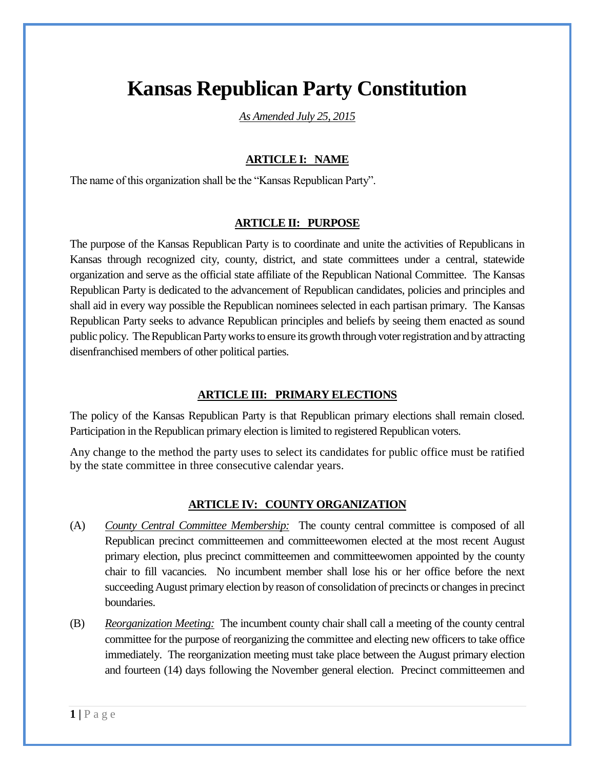# **Kansas Republican Party Constitution**

*As Amended July 25, 2015*

# **ARTICLE I: NAME**

The name of this organization shall be the "Kansas Republican Party".

#### **ARTICLE II: PURPOSE**

The purpose of the Kansas Republican Party is to coordinate and unite the activities of Republicans in Kansas through recognized city, county, district, and state committees under a central, statewide organization and serve as the official state affiliate of the Republican National Committee. The Kansas Republican Party is dedicated to the advancement of Republican candidates, policies and principles and shall aid in every way possible the Republican nominees selected in each partisan primary. The Kansas Republican Party seeks to advance Republican principles and beliefs by seeing them enacted as sound public policy. The Republican Party works to ensure its growth through voter registration and by attracting disenfranchised members of other political parties.

## **ARTICLE III: PRIMARY ELECTIONS**

The policy of the Kansas Republican Party is that Republican primary elections shall remain closed. Participation in the Republican primary election is limited to registered Republican voters.

Any change to the method the party uses to select its candidates for public office must be ratified by the state committee in three consecutive calendar years.

#### **ARTICLE IV: COUNTY ORGANIZATION**

- (A) *County Central Committee Membership:* The county central committee is composed of all Republican precinct committeemen and committeewomen elected at the most recent August primary election, plus precinct committeemen and committeewomen appointed by the county chair to fill vacancies. No incumbent member shall lose his or her office before the next succeeding August primary election by reason of consolidation of precincts or changes in precinct boundaries.
- (B) *Reorganization Meeting:* The incumbent county chair shall call a meeting of the county central committee for the purpose of reorganizing the committee and electing new officers to take office immediately. The reorganization meeting must take place between the August primary election and fourteen (14) days following the November general election. Precinct committeemen and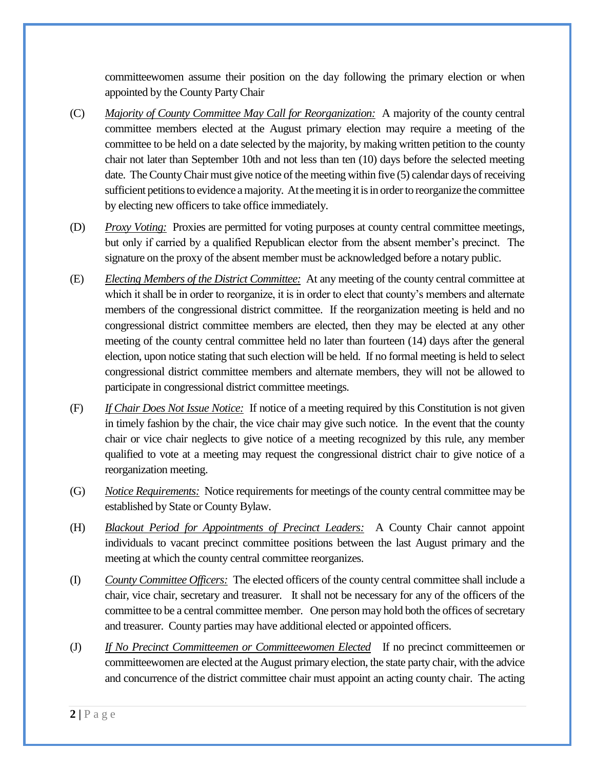committeewomen assume their position on the day following the primary election or when appointed by the County Party Chair

- (C) *Majority of County Committee May Call for Reorganization:* A majority of the county central committee members elected at the August primary election may require a meeting of the committee to be held on a date selected by the majority, by making written petition to the county chair not later than September 10th and not less than ten (10) days before the selected meeting date. The County Chair must give notice of the meeting within five (5) calendar days of receiving sufficient petitions to evidence a majority. At the meeting it is in order to reorganize the committee by electing new officers to take office immediately.
- (D) *Proxy Voting:* Proxies are permitted for voting purposes at county central committee meetings, but only if carried by a qualified Republican elector from the absent member's precinct. The signature on the proxy of the absent member must be acknowledged before a notary public.
- (E) *Electing Members of the District Committee:* At any meeting of the county central committee at which it shall be in order to reorganize, it is in order to elect that county's members and alternate members of the congressional district committee. If the reorganization meeting is held and no congressional district committee members are elected, then they may be elected at any other meeting of the county central committee held no later than fourteen (14) days after the general election, upon notice stating that such election will be held. If no formal meeting is held to select congressional district committee members and alternate members, they will not be allowed to participate in congressional district committee meetings.
- (F) *If Chair Does Not Issue Notice:* If notice of a meeting required by this Constitution is not given in timely fashion by the chair, the vice chair may give such notice. In the event that the county chair or vice chair neglects to give notice of a meeting recognized by this rule, any member qualified to vote at a meeting may request the congressional district chair to give notice of a reorganization meeting.
- (G) *Notice Requirements:* Notice requirements for meetings of the county central committee may be established by State or County Bylaw.
- (H) *Blackout Period for Appointments of Precinct Leaders:* A County Chair cannot appoint individuals to vacant precinct committee positions between the last August primary and the meeting at which the county central committee reorganizes.
- (I) *County Committee Officers:* The elected officers of the county central committee shall include a chair, vice chair, secretary and treasurer. It shall not be necessary for any of the officers of the committee to be a central committee member. One person may hold both the offices of secretary and treasurer. County parties may have additional elected or appointed officers.
- (J) *If No Precinct Committeemen or Committeewomen Elected* If no precinct committeemen or committeewomen are elected at the August primary election, the state party chair, with the advice and concurrence of the district committee chair must appoint an acting county chair. The acting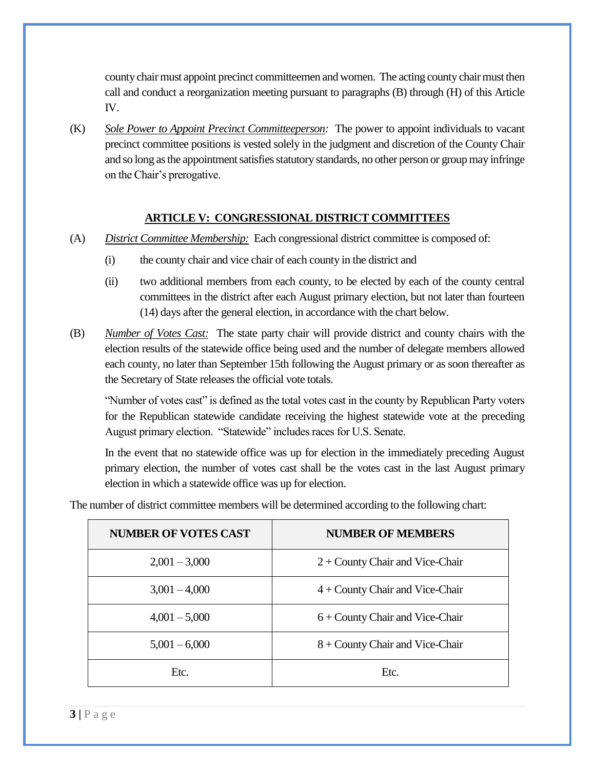county chair must appoint precinct committeemen and women. The acting county chair must then call and conduct a reorganization meeting pursuant to paragraphs (B) through (H) of this Article IV.

(K) *Sole Power to Appoint Precinct Committeeperson:* The power to appoint individuals to vacant precinct committee positions is vested solely in the judgment and discretion of the County Chair and so long as the appointment satisfies statutory standards, no other person or group may infringe on the Chair's prerogative.

#### **ARTICLE V: CONGRESSIONAL DISTRICT COMMITTEES**

- (A) *District Committee Membership:* Each congressional district committee is composed of:
	- (i) the county chair and vice chair of each county in the district and
	- (ii) two additional members from each county, to be elected by each of the county central committees in the district after each August primary election, but not later than fourteen (14) days after the general election, in accordance with the chart below.
- (B) *Number of Votes Cast:* The state party chair will provide district and county chairs with the election results of the statewide office being used and the number of delegate members allowed each county, no later than September 15th following the August primary or as soon thereafter as the Secretary of State releases the official vote totals.

"Number of votes cast" is defined as the total votes cast in the county by Republican Party voters for the Republican statewide candidate receiving the highest statewide vote at the preceding August primary election. "Statewide" includes races for U.S. Senate.

In the event that no statewide office was up for election in the immediately preceding August primary election, the number of votes cast shall be the votes cast in the last August primary election in which a statewide office was up for election.

| <b>NUMBER OF VOTES CAST</b> | <b>NUMBER OF MEMBERS</b>          |
|-----------------------------|-----------------------------------|
| $2,001 - 3,000$             | $2 +$ County Chair and Vice-Chair |
| $3,001 - 4,000$             | $4 +$ County Chair and Vice-Chair |
| $4,001 - 5,000$             | $6 +$ County Chair and Vice-Chair |
| $5,001 - 6,000$             | $8 +$ County Chair and Vice-Chair |
| Etc.                        | Etc.                              |

The number of district committee members will be determined according to the following chart: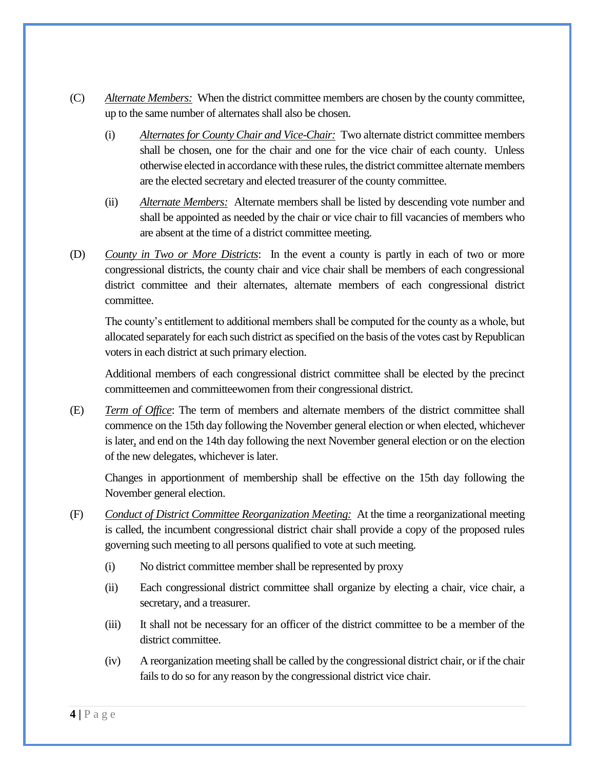- (C) *Alternate Members:* When the district committee members are chosen by the county committee, up to the same number of alternates shall also be chosen.
	- (i) *Alternates for County Chair and Vice-Chair:* Two alternate district committee members shall be chosen, one for the chair and one for the vice chair of each county. Unless otherwise elected in accordance with these rules, the district committee alternate members are the elected secretary and elected treasurer of the county committee.
	- (ii) *Alternate Members:* Alternate members shall be listed by descending vote number and shall be appointed as needed by the chair or vice chair to fill vacancies of members who are absent at the time of a district committee meeting.
- (D) *County in Two or More Districts*: In the event a county is partly in each of two or more congressional districts, the county chair and vice chair shall be members of each congressional district committee and their alternates, alternate members of each congressional district committee.

The county's entitlement to additional members shall be computed for the county as a whole, but allocated separately for each such district as specified on the basis of the votes cast by Republican voters in each district at such primary election.

Additional members of each congressional district committee shall be elected by the precinct committeemen and committeewomen from their congressional district.

(E) *Term of Office*: The term of members and alternate members of the district committee shall commence on the 15th day following the November general election or when elected, whichever is later, and end on the 14th day following the next November general election or on the election of the new delegates, whichever is later.

Changes in apportionment of membership shall be effective on the 15th day following the November general election.

- (F) *Conduct of District Committee Reorganization Meeting:* At the time a reorganizational meeting is called, the incumbent congressional district chair shall provide a copy of the proposed rules governing such meeting to all persons qualified to vote at such meeting.
	- (i) No district committee member shall be represented by proxy
	- (ii) Each congressional district committee shall organize by electing a chair, vice chair, a secretary, and a treasurer.
	- (iii) It shall not be necessary for an officer of the district committee to be a member of the district committee.
	- (iv) A reorganization meeting shall be called by the congressional district chair, or if the chair fails to do so for any reason by the congressional district vice chair.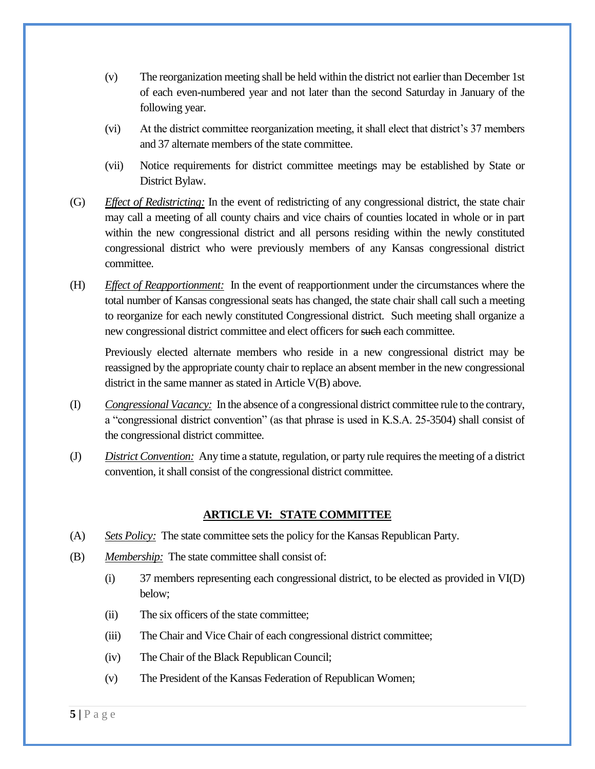- (v) The reorganization meeting shall be held within the district not earlier than December 1st of each even-numbered year and not later than the second Saturday in January of the following year.
- (vi) At the district committee reorganization meeting, it shall elect that district's 37 members and 37 alternate members of the state committee.
- (vii) Notice requirements for district committee meetings may be established by State or District Bylaw.
- (G) *Effect of Redistricting:* In the event of redistricting of any congressional district, the state chair may call a meeting of all county chairs and vice chairs of counties located in whole or in part within the new congressional district and all persons residing within the newly constituted congressional district who were previously members of any Kansas congressional district committee.
- (H) *Effect of Reapportionment:* In the event of reapportionment under the circumstances where the total number of Kansas congressional seats has changed, the state chair shall call such a meeting to reorganize for each newly constituted Congressional district. Such meeting shall organize a new congressional district committee and elect officers for such each committee.

Previously elected alternate members who reside in a new congressional district may be reassigned by the appropriate county chair to replace an absent member in the new congressional district in the same manner as stated in Article V(B) above.

- (I) *Congressional Vacancy:* In the absence of a congressional district committee rule to the contrary, a "congressional district convention" (as that phrase is used in K.S.A. 25-3504) shall consist of the congressional district committee.
- (J) *District Convention:* Any time a statute, regulation, or party rule requires the meeting of a district convention, it shall consist of the congressional district committee.

## **ARTICLE VI: STATE COMMITTEE**

- (A) *Sets Policy:* The state committee sets the policy for the Kansas Republican Party.
- (B) *Membership:* The state committee shall consist of:
	- (i) 37 members representing each congressional district, to be elected as provided in VI(D) below;
	- (ii) The six officers of the state committee;
	- (iii) The Chair and Vice Chair of each congressional district committee;
	- (iv) The Chair of the Black Republican Council;
	- (v) The President of the Kansas Federation of Republican Women;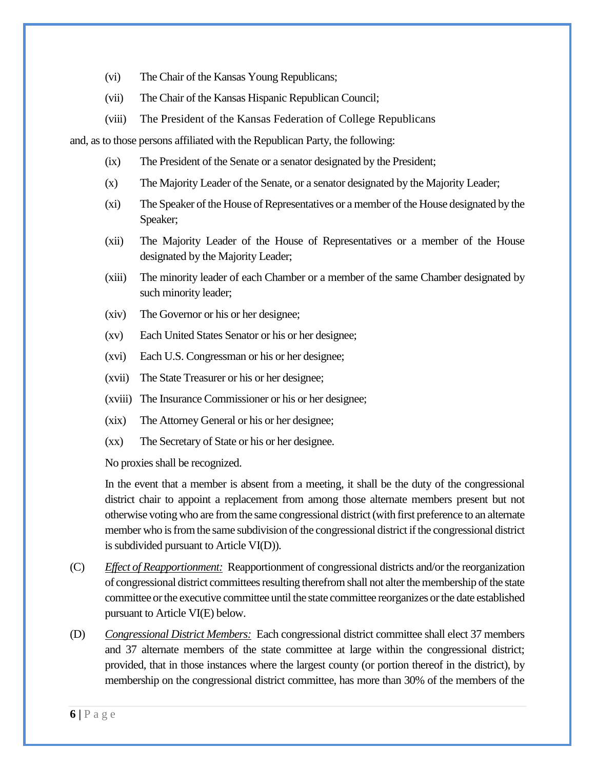- (vi) The Chair of the Kansas Young Republicans;
- (vii) The Chair of the Kansas Hispanic Republican Council;
- (viii) The President of the Kansas Federation of College Republicans

and, as to those persons affiliated with the Republican Party, the following:

- (ix) The President of the Senate or a senator designated by the President;
- (x) The Majority Leader of the Senate, or a senator designated by the Majority Leader;
- (xi) The Speaker of the House of Representatives or a member of the House designated by the Speaker;
- (xii) The Majority Leader of the House of Representatives or a member of the House designated by the Majority Leader;
- (xiii) The minority leader of each Chamber or a member of the same Chamber designated by such minority leader;
- (xiv) The Governor or his or her designee;
- (xv) Each United States Senator or his or her designee;
- (xvi) Each U.S. Congressman or his or her designee;
- (xvii) The State Treasurer or his or her designee;
- (xviii) The Insurance Commissioner or his or her designee;
- (xix) The Attorney General or his or her designee;
- (xx) The Secretary of State or his or her designee.

No proxies shall be recognized.

In the event that a member is absent from a meeting, it shall be the duty of the congressional district chair to appoint a replacement from among those alternate members present but not otherwise voting who are from the same congressional district (with first preference to an alternate member who is from the same subdivision of the congressional district if the congressional district is subdivided pursuant to Article VI(D)).

- (C) *Effect of Reapportionment:* Reapportionment of congressional districts and/or the reorganization of congressional district committees resulting therefrom shall not alter the membership of the state committee or the executive committee until the state committee reorganizes or the date established pursuant to Article VI(E) below.
- (D) *Congressional District Members:* Each congressional district committee shall elect 37 members and 37 alternate members of the state committee at large within the congressional district; provided, that in those instances where the largest county (or portion thereof in the district), by membership on the congressional district committee, has more than 30% of the members of the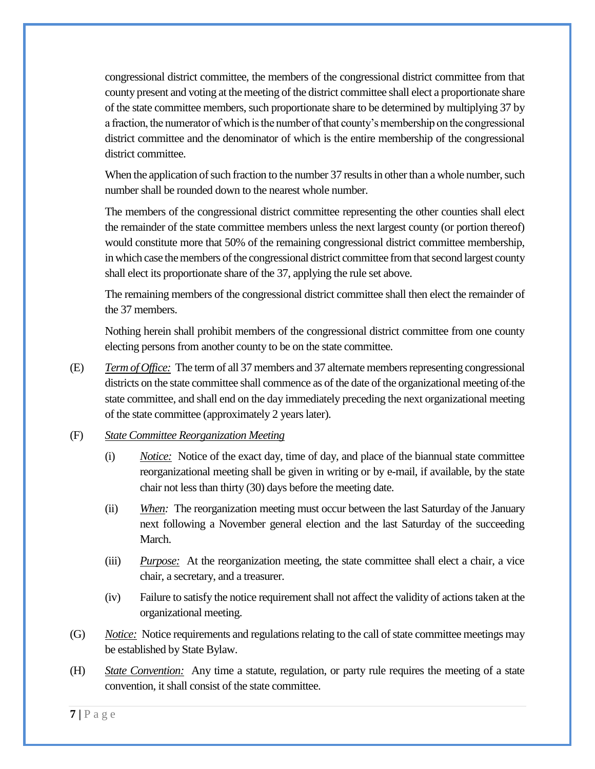congressional district committee, the members of the congressional district committee from that county present and voting at the meeting of the district committee shall elect a proportionate share of the state committee members, such proportionate share to be determined by multiplying 37 by a fraction, the numerator of which is the number of that county's membership on the congressional district committee and the denominator of which is the entire membership of the congressional district committee.

When the application of such fraction to the number 37 results in other than a whole number, such number shall be rounded down to the nearest whole number.

The members of the congressional district committee representing the other counties shall elect the remainder of the state committee members unless the next largest county (or portion thereof) would constitute more that 50% of the remaining congressional district committee membership, in which case the members of the congressional district committee from that second largest county shall elect its proportionate share of the 37, applying the rule set above.

The remaining members of the congressional district committee shall then elect the remainder of the 37 members.

Nothing herein shall prohibit members of the congressional district committee from one county electing persons from another county to be on the state committee.

(E) *Term of Office:* The term of all 37 members and 37 alternate members representing congressional districts on the state committee shall commence as of the date of the organizational meeting of the state committee, and shall end on the day immediately preceding the next organizational meeting of the state committee (approximately 2 years later).

#### (F) *State Committee Reorganization Meeting*

- (i) *Notice:* Notice of the exact day, time of day, and place of the biannual state committee reorganizational meeting shall be given in writing or by e-mail, if available, by the state chair not less than thirty (30) days before the meeting date.
- (ii) *When:* The reorganization meeting must occur between the last Saturday of the January next following a November general election and the last Saturday of the succeeding March.
- (iii) *Purpose:* At the reorganization meeting, the state committee shall elect a chair, a vice chair, a secretary, and a treasurer.
- (iv) Failure to satisfy the notice requirement shall not affect the validity of actions taken at the organizational meeting.
- (G) *Notice:* Notice requirements and regulations relating to the call of state committee meetings may be established by State Bylaw.
- (H) *State Convention:* Any time a statute, regulation, or party rule requires the meeting of a state convention, it shall consist of the state committee.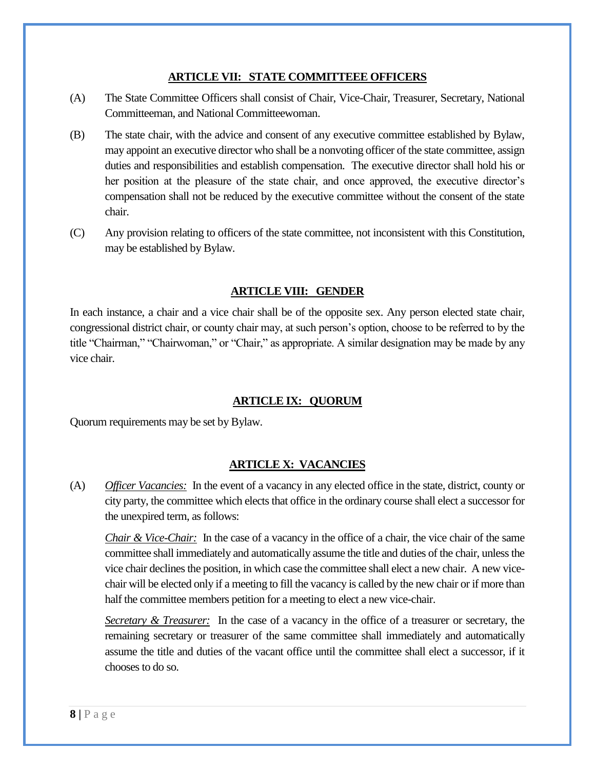#### **ARTICLE VII: STATE COMMITTEEE OFFICERS**

- (A) The State Committee Officers shall consist of Chair, Vice-Chair, Treasurer, Secretary, National Committeeman, and National Committeewoman.
- (B) The state chair, with the advice and consent of any executive committee established by Bylaw, may appoint an executive director who shall be a nonvoting officer of the state committee, assign duties and responsibilities and establish compensation. The executive director shall hold his or her position at the pleasure of the state chair, and once approved, the executive director's compensation shall not be reduced by the executive committee without the consent of the state chair.
- (C) Any provision relating to officers of the state committee, not inconsistent with this Constitution, may be established by Bylaw.

# **ARTICLE VIII: GENDER**

In each instance, a chair and a vice chair shall be of the opposite sex. Any person elected state chair, congressional district chair, or county chair may, at such person's option, choose to be referred to by the title "Chairman," "Chairwoman," or "Chair," as appropriate. A similar designation may be made by any vice chair.

## **ARTICLE IX: QUORUM**

Quorum requirements may be set by Bylaw.

## **ARTICLE X: VACANCIES**

(A) *Officer Vacancies:* In the event of a vacancy in any elected office in the state, district, county or city party, the committee which elects that office in the ordinary course shall elect a successor for the unexpired term, as follows:

*Chair & Vice-Chair:* In the case of a vacancy in the office of a chair, the vice chair of the same committee shall immediately and automatically assume the title and duties of the chair, unless the vice chair declines the position, in which case the committee shall elect a new chair. A new vicechair will be elected only if a meeting to fill the vacancy is called by the new chair or if more than half the committee members petition for a meeting to elect a new vice-chair.

*Secretary & Treasurer:* In the case of a vacancy in the office of a treasurer or secretary, the remaining secretary or treasurer of the same committee shall immediately and automatically assume the title and duties of the vacant office until the committee shall elect a successor, if it chooses to do so.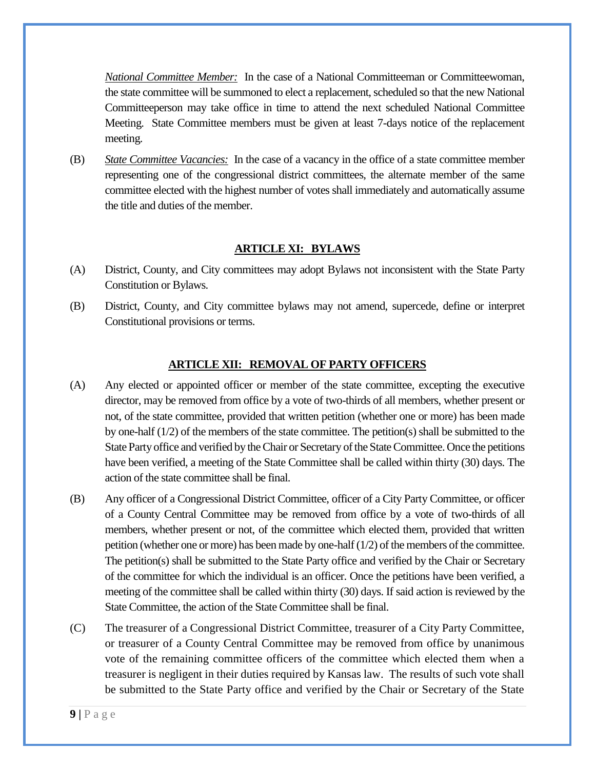*National Committee Member:* In the case of a National Committeeman or Committeewoman, the state committee will be summoned to elect a replacement, scheduled so that the new National Committeeperson may take office in time to attend the next scheduled National Committee Meeting. State Committee members must be given at least 7-days notice of the replacement meeting.

(B) *State Committee Vacancies:* In the case of a vacancy in the office of a state committee member representing one of the congressional district committees, the alternate member of the same committee elected with the highest number of votes shall immediately and automatically assume the title and duties of the member.

#### **ARTICLE XI: BYLAWS**

- (A) District, County, and City committees may adopt Bylaws not inconsistent with the State Party Constitution or Bylaws.
- (B) District, County, and City committee bylaws may not amend, supercede, define or interpret Constitutional provisions or terms.

#### **ARTICLE XII: REMOVAL OF PARTY OFFICERS**

- (A) Any elected or appointed officer or member of the state committee, excepting the executive director, may be removed from office by a vote of two-thirds of all members, whether present or not, of the state committee, provided that written petition (whether one or more) has been made by one-half (1/2) of the members of the state committee. The petition(s) shall be submitted to the State Party office and verified by the Chair or Secretary of the State Committee. Once the petitions have been verified, a meeting of the State Committee shall be called within thirty (30) days. The action of the state committee shall be final.
- (B) Any officer of a Congressional District Committee, officer of a City Party Committee, or officer of a County Central Committee may be removed from office by a vote of two-thirds of all members, whether present or not, of the committee which elected them, provided that written petition (whether one or more) has been made by one-half (1/2) of the members of the committee. The petition(s) shall be submitted to the State Party office and verified by the Chair or Secretary of the committee for which the individual is an officer. Once the petitions have been verified, a meeting of the committee shall be called within thirty (30) days. If said action is reviewed by the State Committee, the action of the State Committee shall be final.
- (C) The treasurer of a Congressional District Committee, treasurer of a City Party Committee, or treasurer of a County Central Committee may be removed from office by unanimous vote of the remaining committee officers of the committee which elected them when a treasurer is negligent in their duties required by Kansas law. The results of such vote shall be submitted to the State Party office and verified by the Chair or Secretary of the State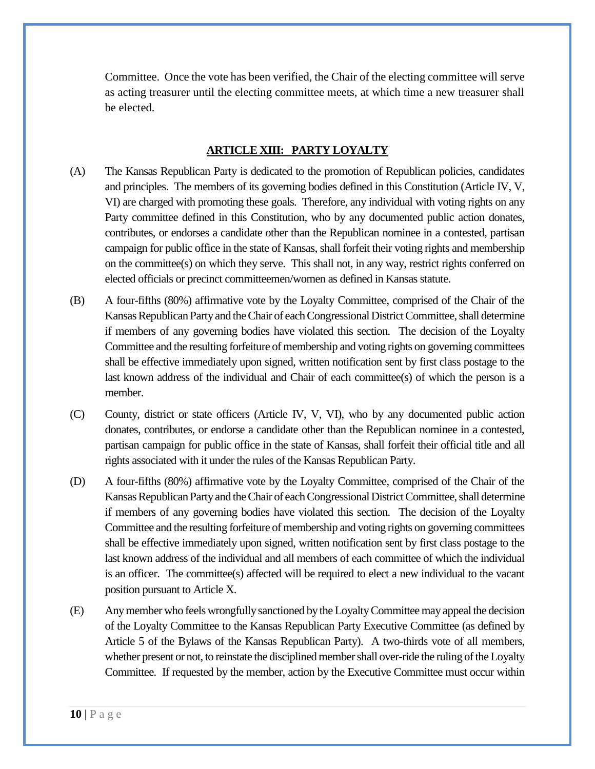Committee. Once the vote has been verified, the Chair of the electing committee will serve as acting treasurer until the electing committee meets, at which time a new treasurer shall be elected.

#### **ARTICLE XIII: PARTY LOYALTY**

- (A) The Kansas Republican Party is dedicated to the promotion of Republican policies, candidates and principles. The members of its governing bodies defined in this Constitution (Article IV, V, VI) are charged with promoting these goals. Therefore, any individual with voting rights on any Party committee defined in this Constitution, who by any documented public action donates, contributes, or endorses a candidate other than the Republican nominee in a contested, partisan campaign for public office in the state of Kansas, shall forfeit their voting rights and membership on the committee(s) on which they serve. This shall not, in any way, restrict rights conferred on elected officials or precinct committeemen/women as defined in Kansas statute.
- (B) A four-fifths (80%) affirmative vote by the Loyalty Committee, comprised of the Chair of the Kansas Republican Party and the Chair of each Congressional District Committee, shall determine if members of any governing bodies have violated this section. The decision of the Loyalty Committee and the resulting forfeiture of membership and voting rights on governing committees shall be effective immediately upon signed, written notification sent by first class postage to the last known address of the individual and Chair of each committee(s) of which the person is a member.
- (C) County, district or state officers (Article IV, V, VI), who by any documented public action donates, contributes, or endorse a candidate other than the Republican nominee in a contested, partisan campaign for public office in the state of Kansas, shall forfeit their official title and all rights associated with it under the rules of the Kansas Republican Party.
- (D) A four-fifths (80%) affirmative vote by the Loyalty Committee, comprised of the Chair of the Kansas Republican Party and the Chair of each Congressional District Committee, shall determine if members of any governing bodies have violated this section. The decision of the Loyalty Committee and the resulting forfeiture of membership and voting rights on governing committees shall be effective immediately upon signed, written notification sent by first class postage to the last known address of the individual and all members of each committee of which the individual is an officer. The committee(s) affected will be required to elect a new individual to the vacant position pursuant to Article X.
- (E) Any member who feels wrongfully sanctioned by the Loyalty Committee may appeal the decision of the Loyalty Committee to the Kansas Republican Party Executive Committee (as defined by Article 5 of the Bylaws of the Kansas Republican Party). A two-thirds vote of all members, whether present or not, to reinstate the disciplined member shall over-ride the ruling of the Loyalty Committee. If requested by the member, action by the Executive Committee must occur within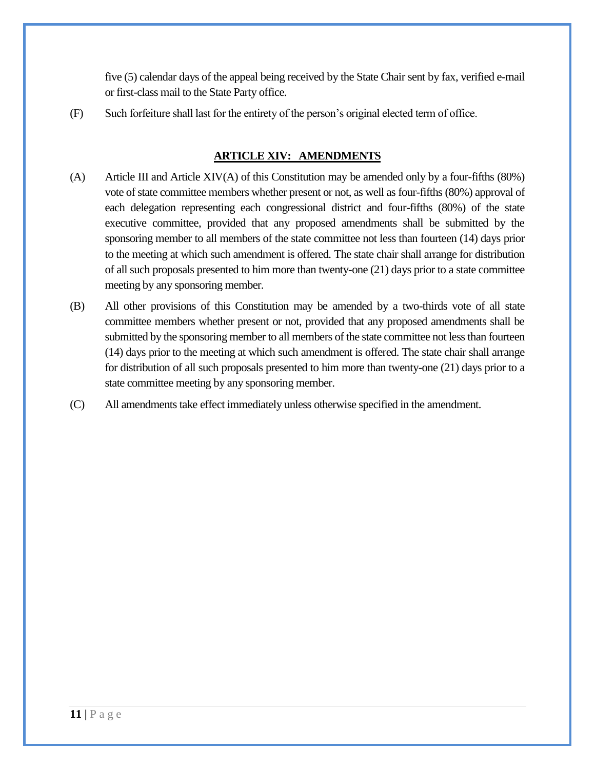five (5) calendar days of the appeal being received by the State Chair sent by fax, verified e-mail or first-class mail to the State Party office.

(F) Such forfeiture shall last for the entirety of the person's original elected term of office.

# **ARTICLE XIV: AMENDMENTS**

- (A) Article III and Article  $XIV(A)$  of this Constitution may be amended only by a four-fifths (80%) vote of state committee members whether present or not, as well as four-fifths (80%) approval of each delegation representing each congressional district and four-fifths (80%) of the state executive committee, provided that any proposed amendments shall be submitted by the sponsoring member to all members of the state committee not less than fourteen (14) days prior to the meeting at which such amendment is offered. The state chair shall arrange for distribution of all such proposals presented to him more than twenty-one (21) days prior to a state committee meeting by any sponsoring member.
- (B) All other provisions of this Constitution may be amended by a two-thirds vote of all state committee members whether present or not, provided that any proposed amendments shall be submitted by the sponsoring member to all members of the state committee not less than fourteen (14) days prior to the meeting at which such amendment is offered. The state chair shall arrange for distribution of all such proposals presented to him more than twenty-one (21) days prior to a state committee meeting by any sponsoring member.
- (C) All amendments take effect immediately unless otherwise specified in the amendment.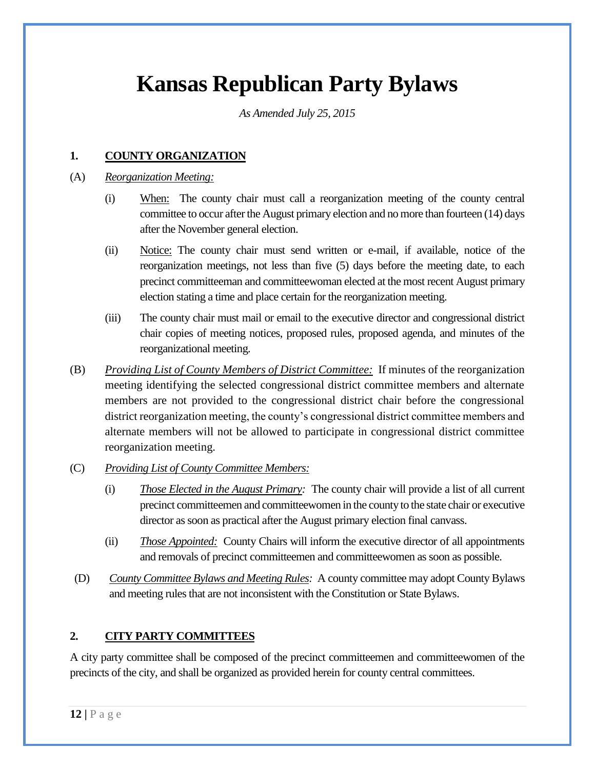# **Kansas Republican Party Bylaws**

*As Amended July 25, 2015*

# **1. COUNTY ORGANIZATION**

#### (A) *Reorganization Meeting:*

- (i) When: The county chair must call a reorganization meeting of the county central committee to occur after the August primary election and no more than fourteen (14) days after the November general election.
- (ii) Notice: The county chair must send written or e-mail, if available, notice of the reorganization meetings, not less than five (5) days before the meeting date, to each precinct committeeman and committeewoman elected at the most recent August primary election stating a time and place certain for the reorganization meeting.
- (iii) The county chair must mail or email to the executive director and congressional district chair copies of meeting notices, proposed rules, proposed agenda, and minutes of the reorganizational meeting.
- (B) *Providing List of County Members of District Committee:* If minutes of the reorganization meeting identifying the selected congressional district committee members and alternate members are not provided to the congressional district chair before the congressional district reorganization meeting, the county's congressional district committee members and alternate members will not be allowed to participate in congressional district committee reorganization meeting.
- (C) *Providing List of County Committee Members:*
	- (i) *Those Elected in the August Primary:* The county chair will provide a list of all current precinct committeemen and committeewomen in the county to the state chair or executive director as soon as practical after the August primary election final canvass.
	- (ii) *Those Appointed:* County Chairs will inform the executive director of all appointments and removals of precinct committeemen and committeewomen as soon as possible.
- (D) *County Committee Bylaws and Meeting Rules:* A county committee may adopt County Bylaws and meeting rules that are not inconsistent with the Constitution or State Bylaws.

## **2. CITY PARTY COMMITTEES**

A city party committee shall be composed of the precinct committeemen and committeewomen of the precincts of the city, and shall be organized as provided herein for county central committees.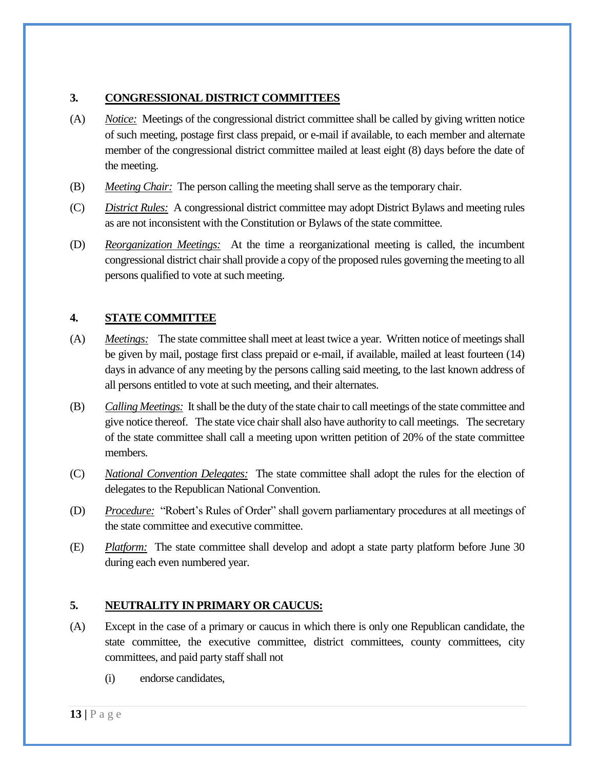# **3. CONGRESSIONAL DISTRICT COMMITTEES**

- (A) *Notice:* Meetings of the congressional district committee shall be called by giving written notice of such meeting, postage first class prepaid, or e-mail if available, to each member and alternate member of the congressional district committee mailed at least eight (8) days before the date of the meeting.
- (B) *Meeting Chair:* The person calling the meeting shall serve as the temporary chair.
- (C) *District Rules:* A congressional district committee may adopt District Bylaws and meeting rules as are not inconsistent with the Constitution or Bylaws of the state committee.
- (D) *Reorganization Meetings:* At the time a reorganizational meeting is called, the incumbent congressional district chair shall provide a copy of the proposed rules governing the meeting to all persons qualified to vote at such meeting.

# **4. STATE COMMITTEE**

- (A) *Meetings:* The state committee shall meet at least twice a year. Written notice of meetings shall be given by mail, postage first class prepaid or e-mail, if available, mailed at least fourteen (14) days in advance of any meeting by the persons calling said meeting, to the last known address of all persons entitled to vote at such meeting, and their alternates.
- (B) *Calling Meetings:* It shall be the duty of the state chair to call meetings of the state committee and give notice thereof. The state vice chair shall also have authority to call meetings. The secretary of the state committee shall call a meeting upon written petition of 20% of the state committee members.
- (C) *National Convention Delegates:* The state committee shall adopt the rules for the election of delegates to the Republican National Convention.
- (D) *Procedure:* "Robert's Rules of Order" shall govern parliamentary procedures at all meetings of the state committee and executive committee.
- (E) *Platform:* The state committee shall develop and adopt a state party platform before June 30 during each even numbered year.

# **5. NEUTRALITY IN PRIMARY OR CAUCUS:**

- (A) Except in the case of a primary or caucus in which there is only one Republican candidate, the state committee, the executive committee, district committees, county committees, city committees, and paid party staff shall not
	- (i) endorse candidates,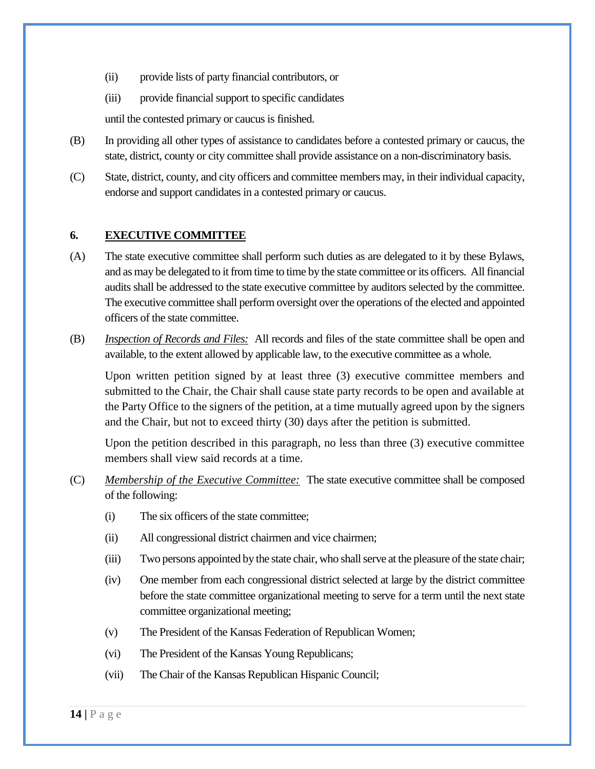- (ii) provide lists of party financial contributors, or
- (iii) provide financial support to specific candidates

until the contested primary or caucus is finished.

- (B) In providing all other types of assistance to candidates before a contested primary or caucus, the state, district, county or city committee shall provide assistance on a non-discriminatory basis.
- (C) State, district, county, and city officers and committee members may, in their individual capacity, endorse and support candidates in a contested primary or caucus.

## **6. EXECUTIVE COMMITTEE**

- (A) The state executive committee shall perform such duties as are delegated to it by these Bylaws, and as may be delegated to it from time to time by the state committee or its officers. All financial audits shall be addressed to the state executive committee by auditors selected by the committee. The executive committee shall perform oversight over the operations of the elected and appointed officers of the state committee.
- (B) *Inspection of Records and Files:* All records and files of the state committee shall be open and available, to the extent allowed by applicable law, to the executive committee as a whole.

Upon written petition signed by at least three (3) executive committee members and submitted to the Chair, the Chair shall cause state party records to be open and available at the Party Office to the signers of the petition, at a time mutually agreed upon by the signers and the Chair, but not to exceed thirty (30) days after the petition is submitted.

Upon the petition described in this paragraph, no less than three (3) executive committee members shall view said records at a time.

- (C) *Membership of the Executive Committee:* The state executive committee shall be composed of the following:
	- (i) The six officers of the state committee;
	- (ii) All congressional district chairmen and vice chairmen;
	- (iii) Two persons appointed by the state chair, who shall serve at the pleasure of the state chair;
	- (iv) One member from each congressional district selected at large by the district committee before the state committee organizational meeting to serve for a term until the next state committee organizational meeting;
	- (v) The President of the Kansas Federation of Republican Women;
	- (vi) The President of the Kansas Young Republicans;
	- (vii) The Chair of the Kansas Republican Hispanic Council;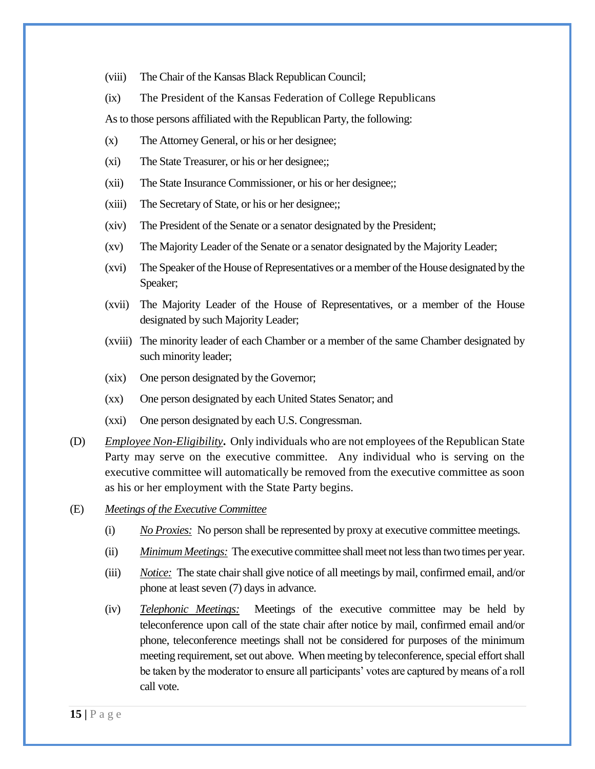- (viii) The Chair of the Kansas Black Republican Council;
- (ix) The President of the Kansas Federation of College Republicans

As to those persons affiliated with the Republican Party, the following:

- (x) The Attorney General, or his or her designee;
- (xi) The State Treasurer, or his or her designee;;
- (xii) The State Insurance Commissioner, or his or her designee;;
- (xiii) The Secretary of State, or his or her designee;;
- (xiv) The President of the Senate or a senator designated by the President;
- (xv) The Majority Leader of the Senate or a senator designated by the Majority Leader;
- (xvi) The Speaker of the House of Representatives or a member of the House designated by the Speaker;
- (xvii) The Majority Leader of the House of Representatives, or a member of the House designated by such Majority Leader;
- (xviii) The minority leader of each Chamber or a member of the same Chamber designated by such minority leader;
- (xix) One person designated by the Governor;
- (xx) One person designated by each United States Senator; and
- (xxi) One person designated by each U.S. Congressman.
- (D) *Employee Non-Eligibility***.** Only individuals who are not employees of the Republican State Party may serve on the executive committee. Any individual who is serving on the executive committee will automatically be removed from the executive committee as soon as his or her employment with the State Party begins.
- (E) *Meetings of the Executive Committee*
	- (i) *No Proxies:* No person shall be represented by proxy at executive committee meetings.
	- (ii) *Minimum Meetings:* The executive committee shall meet not less than two times per year.
	- (iii) *Notice:* The state chair shall give notice of all meetings by mail, confirmed email, and/or phone at least seven (7) days in advance.
	- (iv) *Telephonic Meetings:* Meetings of the executive committee may be held by teleconference upon call of the state chair after notice by mail, confirmed email and/or phone, teleconference meetings shall not be considered for purposes of the minimum meeting requirement, set out above. When meeting by teleconference, special effort shall be taken by the moderator to ensure all participants' votes are captured by means of a roll call vote.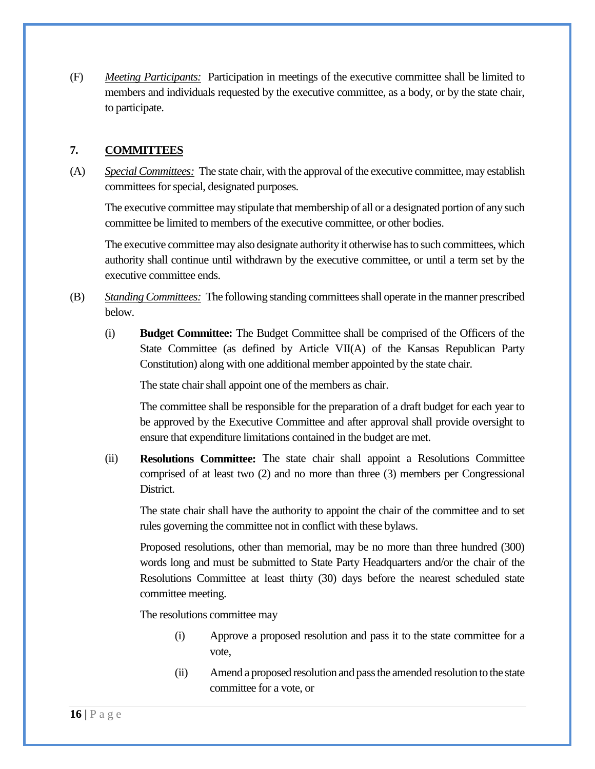(F) *Meeting Participants:* Participation in meetings of the executive committee shall be limited to members and individuals requested by the executive committee, as a body, or by the state chair, to participate.

#### **7. COMMITTEES**

(A) *Special Committees:* The state chair, with the approval of the executive committee, may establish committees for special, designated purposes.

The executive committee may stipulate that membership of all or a designated portion of any such committee be limited to members of the executive committee, or other bodies.

The executive committee may also designate authority it otherwise has to such committees, which authority shall continue until withdrawn by the executive committee, or until a term set by the executive committee ends.

- (B) *Standing Committees:* The following standing committees shall operate in the manner prescribed below.
	- (i) **Budget Committee:** The Budget Committee shall be comprised of the Officers of the State Committee (as defined by Article VII(A) of the Kansas Republican Party Constitution) along with one additional member appointed by the state chair.

The state chair shall appoint one of the members as chair.

The committee shall be responsible for the preparation of a draft budget for each year to be approved by the Executive Committee and after approval shall provide oversight to ensure that expenditure limitations contained in the budget are met.

(ii) **Resolutions Committee:** The state chair shall appoint a Resolutions Committee comprised of at least two (2) and no more than three (3) members per Congressional District.

The state chair shall have the authority to appoint the chair of the committee and to set rules governing the committee not in conflict with these bylaws.

Proposed resolutions, other than memorial, may be no more than three hundred (300) words long and must be submitted to State Party Headquarters and/or the chair of the Resolutions Committee at least thirty (30) days before the nearest scheduled state committee meeting.

The resolutions committee may

- (i) Approve a proposed resolution and pass it to the state committee for a vote,
- (ii) Amend a proposed resolution and pass the amended resolution to the state committee for a vote, or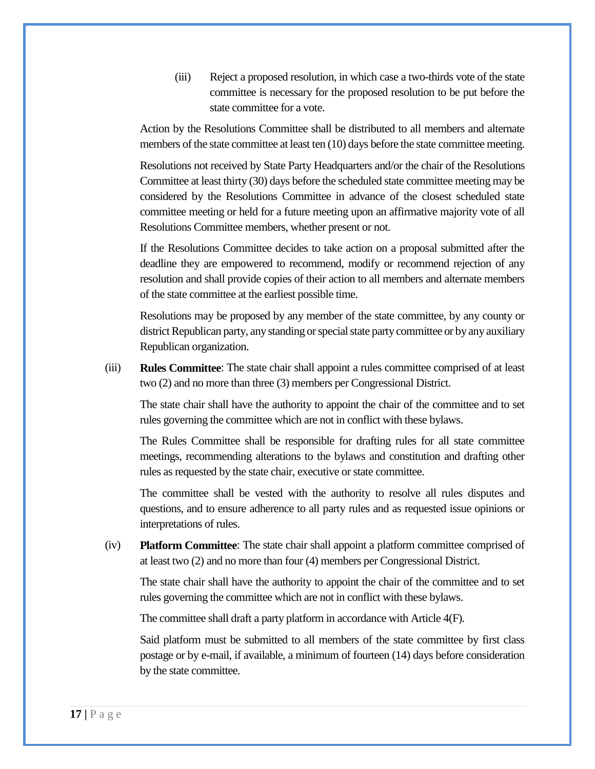(iii) Reject a proposed resolution, in which case a two-thirds vote of the state committee is necessary for the proposed resolution to be put before the state committee for a vote.

Action by the Resolutions Committee shall be distributed to all members and alternate members of the state committee at least ten (10) days before the state committee meeting.

Resolutions not received by State Party Headquarters and/or the chair of the Resolutions Committee at least thirty (30) days before the scheduled state committee meeting may be considered by the Resolutions Committee in advance of the closest scheduled state committee meeting or held for a future meeting upon an affirmative majority vote of all Resolutions Committee members, whether present or not.

If the Resolutions Committee decides to take action on a proposal submitted after the deadline they are empowered to recommend, modify or recommend rejection of any resolution and shall provide copies of their action to all members and alternate members of the state committee at the earliest possible time.

Resolutions may be proposed by any member of the state committee, by any county or district Republican party, any standing or special state party committee or by any auxiliary Republican organization.

(iii) **Rules Committee**: The state chair shall appoint a rules committee comprised of at least two (2) and no more than three (3) members per Congressional District.

The state chair shall have the authority to appoint the chair of the committee and to set rules governing the committee which are not in conflict with these bylaws.

The Rules Committee shall be responsible for drafting rules for all state committee meetings, recommending alterations to the bylaws and constitution and drafting other rules as requested by the state chair, executive or state committee.

The committee shall be vested with the authority to resolve all rules disputes and questions, and to ensure adherence to all party rules and as requested issue opinions or interpretations of rules.

(iv) **Platform Committee**: The state chair shall appoint a platform committee comprised of at least two (2) and no more than four (4) members per Congressional District.

The state chair shall have the authority to appoint the chair of the committee and to set rules governing the committee which are not in conflict with these bylaws.

The committee shall draft a party platform in accordance with Article 4(F).

Said platform must be submitted to all members of the state committee by first class postage or by e-mail, if available, a minimum of fourteen (14) days before consideration by the state committee.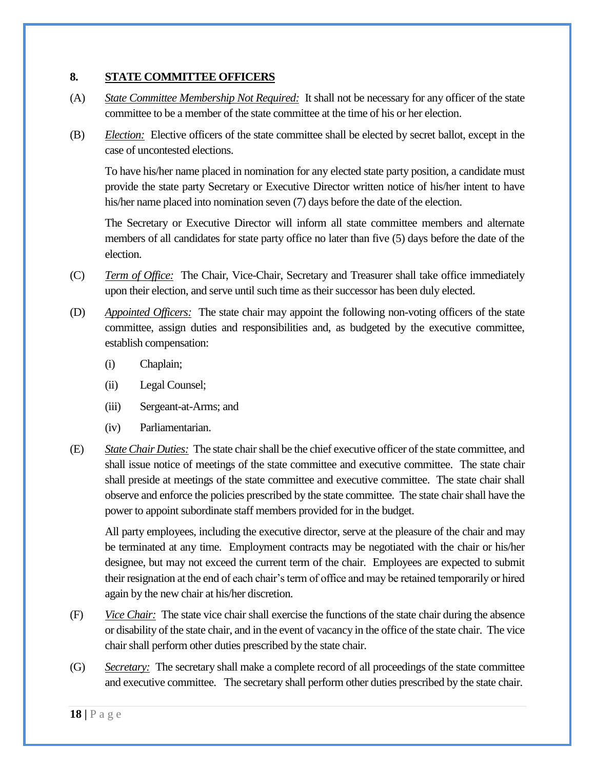## **8. STATE COMMITTEE OFFICERS**

- (A) *State Committee Membership Not Required:* It shall not be necessary for any officer of the state committee to be a member of the state committee at the time of his or her election.
- (B) *Election:* Elective officers of the state committee shall be elected by secret ballot, except in the case of uncontested elections.

To have his/her name placed in nomination for any elected state party position, a candidate must provide the state party Secretary or Executive Director written notice of his/her intent to have his/her name placed into nomination seven (7) days before the date of the election.

The Secretary or Executive Director will inform all state committee members and alternate members of all candidates for state party office no later than five (5) days before the date of the election.

- (C) *Term of Office:* The Chair, Vice-Chair, Secretary and Treasurer shall take office immediately upon their election, and serve until such time as their successor has been duly elected.
- (D) *Appointed Officers:* The state chair may appoint the following non-voting officers of the state committee, assign duties and responsibilities and, as budgeted by the executive committee, establish compensation:
	- (i) Chaplain;
	- (ii) Legal Counsel;
	- (iii) Sergeant-at-Arms; and
	- (iv) Parliamentarian.
- (E) *State Chair Duties:* The state chair shall be the chief executive officer of the state committee, and shall issue notice of meetings of the state committee and executive committee. The state chair shall preside at meetings of the state committee and executive committee. The state chair shall observe and enforce the policies prescribed by the state committee. The state chair shall have the power to appoint subordinate staff members provided for in the budget.

All party employees, including the executive director, serve at the pleasure of the chair and may be terminated at any time. Employment contracts may be negotiated with the chair or his/her designee, but may not exceed the current term of the chair. Employees are expected to submit their resignation at the end of each chair's term of office and may be retained temporarily or hired again by the new chair at his/her discretion.

- (F) *Vice Chair:* The state vice chair shall exercise the functions of the state chair during the absence or disability of the state chair, and in the event of vacancy in the office of the state chair. The vice chair shall perform other duties prescribed by the state chair.
- (G) *Secretary:* The secretary shall make a complete record of all proceedings of the state committee and executive committee. The secretary shall perform other duties prescribed by the state chair.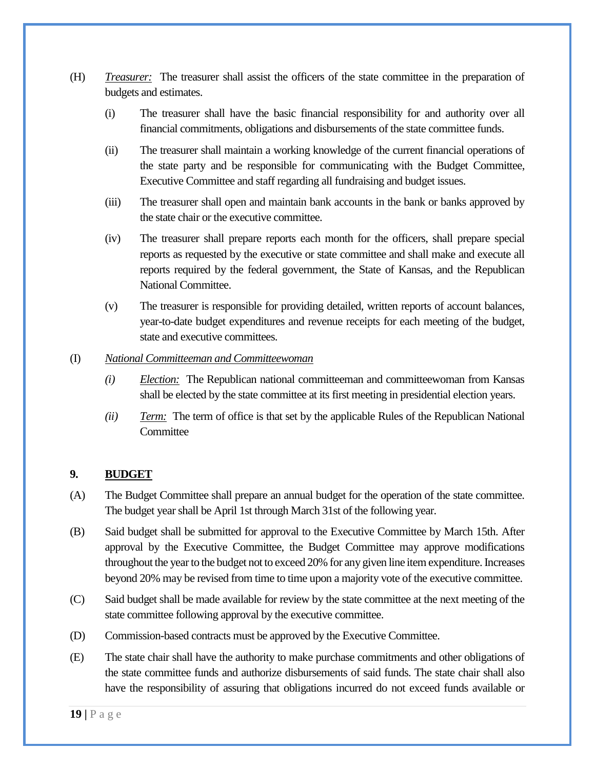- (H) *Treasurer:* The treasurer shall assist the officers of the state committee in the preparation of budgets and estimates.
	- (i) The treasurer shall have the basic financial responsibility for and authority over all financial commitments, obligations and disbursements of the state committee funds.
	- (ii) The treasurer shall maintain a working knowledge of the current financial operations of the state party and be responsible for communicating with the Budget Committee, Executive Committee and staff regarding all fundraising and budget issues.
	- (iii) The treasurer shall open and maintain bank accounts in the bank or banks approved by the state chair or the executive committee.
	- (iv) The treasurer shall prepare reports each month for the officers, shall prepare special reports as requested by the executive or state committee and shall make and execute all reports required by the federal government, the State of Kansas, and the Republican National Committee.
	- (v) The treasurer is responsible for providing detailed, written reports of account balances, year-to-date budget expenditures and revenue receipts for each meeting of the budget, state and executive committees.

#### (I) *National Committeeman and Committeewoman*

- *(i) Election:* The Republican national committeeman and committeewoman from Kansas shall be elected by the state committee at its first meeting in presidential election years.
- *(ii) Term:* The term of office is that set by the applicable Rules of the Republican National **Committee**

## **9. BUDGET**

- (A) The Budget Committee shall prepare an annual budget for the operation of the state committee. The budget year shall be April 1st through March 31st of the following year.
- (B) Said budget shall be submitted for approval to the Executive Committee by March 15th. After approval by the Executive Committee, the Budget Committee may approve modifications throughout the year to the budget not to exceed 20% for any given line item expenditure. Increases beyond 20% may be revised from time to time upon a majority vote of the executive committee.
- (C) Said budget shall be made available for review by the state committee at the next meeting of the state committee following approval by the executive committee.
- (D) Commission-based contracts must be approved by the Executive Committee.
- (E) The state chair shall have the authority to make purchase commitments and other obligations of the state committee funds and authorize disbursements of said funds. The state chair shall also have the responsibility of assuring that obligations incurred do not exceed funds available or